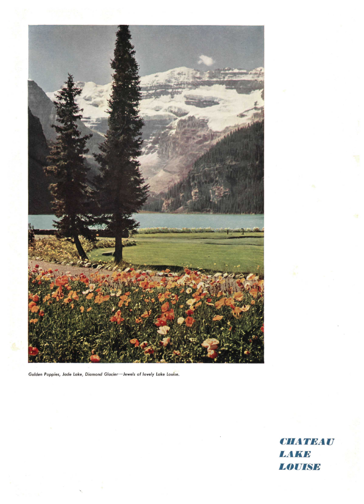

Golden Poppies, Jade Lake, Diamond Glacier-Jewels of lovely Lake Louise.

**CHATEAU** LAKE LOUISE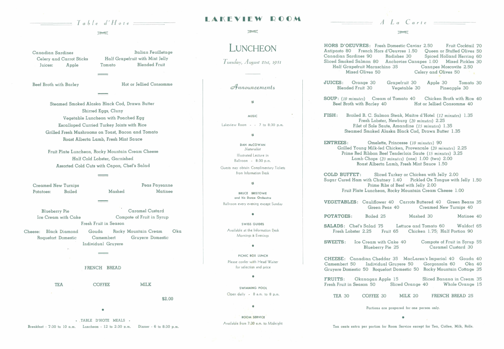#### mest

Canadian Sardines Celery and Carrot Sticks Juices: Apple

Beef Broth with Barley

Italian Feuilletage Half Grapefruit with Mint Jelly Tomato Blended Fruit

Hot or Jellied Consomme

Steamed Smoked Alaska Black Cod, Drawn Butter Shirred Eggs, Cluny Vegetable Luncheon with Poached Egg Escalloped Curried Turkey Joints with Rice Grilled Fresh Mushrooms on Toast, Bacon and Tomato Roast Alberta Lamb, Fresh Mint Sauce

TEA COFFEE MILK

Fruit Plate Luncheon, Rocky Mountain Cream Cheese Half Cold Lobster, Garnished Assorted Cold Cuts with Capon, Chef's Salad

Creamed New Turnips Potatoes: Boiled Mashed Peas Paysanne Matinee

> SWISS GUIDES Available at the Information Desk Mornings & Evenings

> > $\blacksquare$

Blueberry Pie Caramel Custard Ice Cream with Cake Compote of Fruit in Syrup Fresh Fruit in Season

Cheese: Black Diamond Gouda Rocky Mountain Cream Ok a Roquefort Domestic Camembert Gruyere Domestic Individual Gruyere

#### FRENCH BREAD

\$2.00

**. TABLE D'HOTE MEALS • Breakfast • 7:30 to 10 a.m. Luncheon - 12 to 2:30 p.m. Dinner - 6 to 8:30 p.m.** 

## $\blacksquare$   $\blacksquare$   $\blacksquare$   $\blacksquare$   $\blacksquare$   $\blacksquare$   $\blacksquare$   $\blacksquare$   $\blacksquare$   $\blacksquare$   $\blacksquare$   $\blacksquare$   $\blacksquare$   $\blacksquare$   $\blacksquare$   $\blacksquare$   $\blacksquare$   $\blacksquare$   $\blacksquare$   $\blacksquare$   $\blacksquare$   $\blacksquare$   $\blacksquare$   $\blacksquare$   $\blacksquare$   $\blacksquare$   $\blacksquare$   $\blacksquare$   $\blacksquare$   $\blacksquare$   $\blacksquare$   $\blacks$

#### men

# **LUNCHEON**

**SOUP:** (10 *minutes)* Cream of Tomato 40 Chicken Broth with Rice 40 Bot or Jellied Consomme 40

*Tuesday, August 21st, ip51* 

*cdfnnounaementi* 

 $68$ 

**MUSIC** Lakeview Room  $-$  7 to 8:30 p.m.

«

**DAN McCOWAN**  *Naturalist*  Illustrated Lecture in Ballroom - 8:30 p.m.

Guests may obtain Complimentary Tickets from Information Desk

### •

BRUCE BRISTOWE and his Dance Orchestra

Ballroom every evening except Sunday

#### $\bullet$

PICNIC BOX LUNCH Please confer with Head Waiter for selection and price

 $\ddot{\phantom{a}}$ 

SWIMMING POOL Open daily - 8 a.m. to 8 p.m.

### $\ddot{\phantom{a}}$

ROOM SERVICE Available from 7:30 a.m. to Midnight

**HORS D'OEUVRES:** Fresh Domestic Caviar 2.50 Fruit Cocktail 70<br>Antipasto 80 French Hors d'Oeuvres 1.50 Oueen or Stuffed Olives 50 Antipasto 80 French Hors d'Oeuvres 1.50<br>Canadian Sardines 90 Radishes 30 Canadian Sardines 90 Radishes 30 Spiced Holland Herring 60<br>Sliced Smoked Salmon 80 Anchovies Canapes 1.00 Mixed Pickles 30 Anchovies Canapes 1.00 Mixed Pickles 30<br>hino 35 Canapes Moscovite 2.50 Half Grapefruit Maraschino 35<br>Mixed Olives 50 Celery and Olives 50

**JUICES:** Orange 30 Blended Fruit 30

Grapefruit 30 Vegetable 30 Apple 30 Tomato 30 Pineapple 30

**FISH:** Broiled B. C. Salmon Steak, Maitre d'Hotel *(12 minutes)* 1.35 Fresh Lobster, Newburg *(20 minutes)* 2.25 Filet of Sole Saute, Amandine *(15 minutes)* 1.35 Steamed Smoked Alaska Black Cod, Drawn Butter 1.35

**ENTREES:** Omelette, Princesse *(10 minutes)* 90 Grilled Young Milk-fed Chicken, Provencale *(20 minutes)* 2.25 Prime Red Ribbon Beef Tenderloin Saute (15 *minutes)* 3.25 Lamb Chops *(20 minutes)* (one) 1.00 (two) 2.00 Roast Alberta Lamb, Fresh Mint Sauce 1.50

**COLD BUFFET:** Sliced Turkey or Chicken with Jelly 2.00 Sugar Cured Ham with Chutney 1.40 Pickled Ox Tongue with Jelly 1.50 Prime Ribs of Beef with Jelly 2.00 Fruit Plate Luncheon, Rocky Mountain Cream Cheese 1.00

**POTATOES:** 

**SALADS:** Chef's Salad 75 Lettuce and Tomato 60 Waldorf 65<br>Fresh Lobster 2.25 Fruit 65 Chicken 1.75; Half Portion 90 Chicken 1.75; Half Portion 90

**VEGETABLES:**  Cauliflower 40 Carrots Buttered 40 Green Beans 35 Green Peas 40 Creamed New Turnips 40

Boiled 25 Mashed 30 Matinee 40

TEA 30 COFFEE 30 MILK 20 FRENCH BREAD 25

**SWEETS:** Ice Cream with Cake 40 Blueberry Pie 25 Compote of Fruit in Syrup 55 Caramel Custard 30

**CHEESE:** Canadian Cheddar 35 MacLaren's Imperial 40 Gouda 40 Individual Gruyere 50 Gruyere Domestic 50 Roquefort Domestic 50 Rocky Mountain Cottage 35

FRUITS: Okanagan Apple 15 Sliced Banana in Cream 35<br>Fresh Fruit in Season 50 Sliced Orange 40 Whole Orange 15 Fresh Fruit in Season 50

**Portions are prepared for one person only.** 

**Ten cents extra per portion for Room Service except for Tea, Coffee, Milk, Rolls.** 

meet